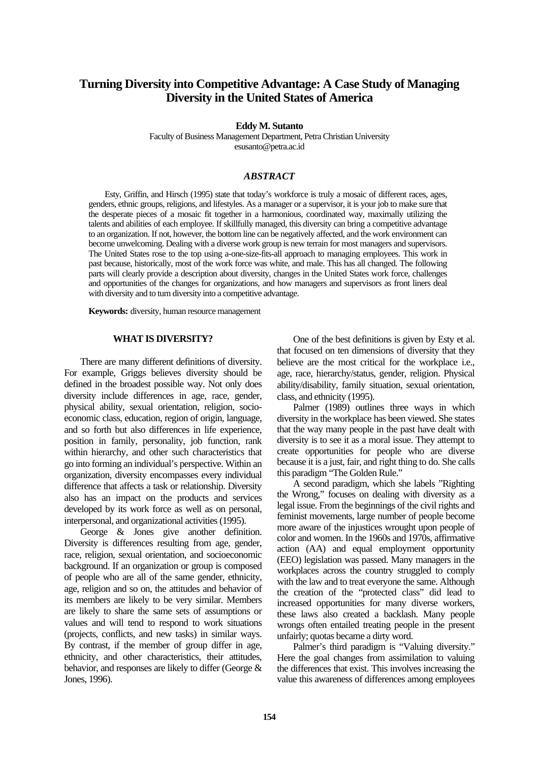# **Turning Diversity into Competitive Advantage: A Case Study of Managing Diversity in the United States of America**

**Eddy M. Sutanto**

Faculty of Business Management Department, Petra Christian University esusanto@petra.ac.id

# *ABSTRACT*

Esty, Griffin, and Hirsch (1995) state that today's workforce is truly a mosaic of different races, ages, genders, ethnic groups, religions, and lifestyles. As a manager or a supervisor, it is your job to make sure that the desperate pieces of a mosaic fit together in a harmonious, coordinated way, maximally utilizing the talents and abilities of each employee. If skillfully managed, this diversity can bring a competitive advantage to an organization. If not, however, the bottom line can be negatively affected, and the work environment can become unwelcoming. Dealing with a diverse work group is new terrain for most managers and supervisors. The United States rose to the top using a-one-size-fits-all approach to managing employees. This work in past because, historically, most of the work force was white, and male. This has all changed. The following parts will clearly provide a description about diversity, changes in the United States work force, challenges and opportunities of the changes for organizations, and how managers and supervisors as front liners deal with diversity and to turn diversity into a competitive advantage.

**Keywords:** diversity, human resource management

### **WHAT IS DIVERSITY?**

There are many different definitions of diversity. For example, Griggs believes diversity should be defined in the broadest possible way. Not only does diversity include differences in age, race, gender, physical ability, sexual orientation, religion, socioeconomic class, education, region of origin, language, and so forth but also differences in life experience, position in family, personality, job function, rank within hierarchy, and other such characteristics that go into forming an individual's perspective. Within an organization, diversity encompasses every individual difference that affects a task or relationship. Diversity also has an impact on the products and services developed by its work force as well as on personal, interpersonal, and organizational activities (1995).

George & Jones give another definition. Diversity is differences resulting from age, gender, race, religion, sexual orientation, and socioeconomic background. If an organization or group is composed of people who are all of the same gender, ethnicity, age, religion and so on, the attitudes and behavior of its members are likely to be very similar. Members are likely to share the same sets of assumptions or values and will tend to respond to work situations (projects, conflicts, and new tasks) in similar ways. By contrast, if the member of group differ in age, ethnicity, and other characteristics, their attitudes, behavior, and responses are likely to differ (George & Jones, 1996).

One of the best definitions is given by Esty et al. that focused on ten dimensions of diversity that they believe are the most critical for the workplace i.e., age, race, hierarchy/status, gender, religion. Physical ability/disability, family situation, sexual orientation, class, and ethnicity (1995).

Palmer (1989) outlines three ways in which diversity in the workplace has been viewed. She states that the way many people in the past have dealt with diversity is to see it as a moral issue. They attempt to create opportunities for people who are diverse because it is a just, fair, and right thing to do. She calls this paradigm "The Golden Rule."

A second paradigm, which she labels "Righting the Wrong," focuses on dealing with diversity as a legal issue. From the beginnings of the civil rights and feminist movements, large number of people become more aware of the injustices wrought upon people of color and women. In the 1960s and 1970s, affirmative action (AA) and equal employment opportunity (EEO) legislation was passed. Many managers in the workplaces across the country struggled to comply with the law and to treat everyone the same. Although the creation of the "protected class" did lead to increased opportunities for many diverse workers, these laws also created a backlash. Many people wrongs often entailed treating people in the present unfairly; quotas became a dirty word.

Palmer's third paradigm is "Valuing diversity." Here the goal changes from assimilation to valuing the differences that exist. This involves increasing the value this awareness of differences among employees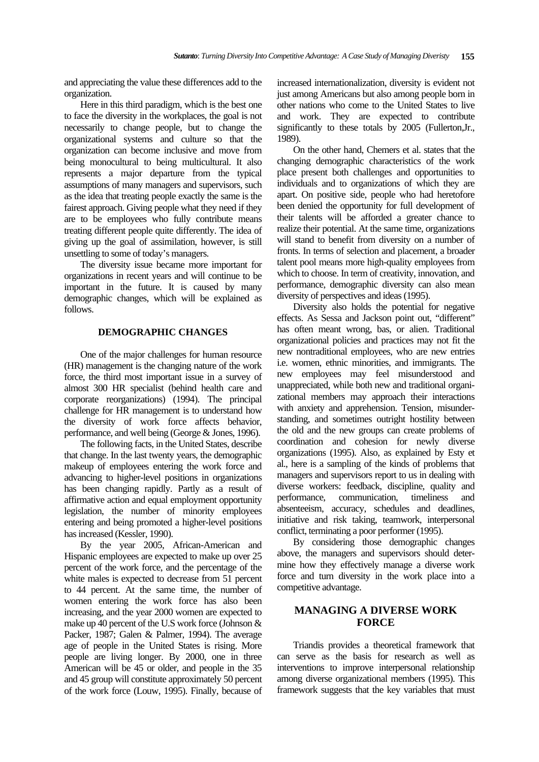and appreciating the value these differences add to the organization.

Here in this third paradigm, which is the best one to face the diversity in the workplaces, the goal is not necessarily to change people, but to change the organizational systems and culture so that the organization can become inclusive and move from being monocultural to being multicultural. It also represents a major departure from the typical assumptions of many managers and supervisors, such as the idea that treating people exactly the same is the fairest approach. Giving people what they need if they are to be employees who fully contribute means treating different people quite differently. The idea of giving up the goal of assimilation, however, is still unsettling to some of today's managers.

The diversity issue became more important for organizations in recent years and will continue to be important in the future. It is caused by many demographic changes, which will be explained as follows.

# **DEMOGRAPHIC CHANGES**

One of the major challenges for human resource (HR) management is the changing nature of the work force, the third most important issue in a survey of almost 300 HR specialist (behind health care and corporate reorganizations) (1994). The principal challenge for HR management is to understand how the diversity of work force affects behavior, performance, and well being (George & Jones, 1996).

The following facts, in the United States, describe that change. In the last twenty years, the demographic makeup of employees entering the work force and advancing to higher-level positions in organizations has been changing rapidly. Partly as a result of affirmative action and equal employment opportunity legislation, the number of minority employees entering and being promoted a higher-level positions has increased (Kessler, 1990).

By the year 2005, African-American and Hispanic employees are expected to make up over 25 percent of the work force, and the percentage of the white males is expected to decrease from 51 percent to 44 percent. At the same time, the number of women entering the work force has also been increasing, and the year 2000 women are expected to make up 40 percent of the U.S work force (Johnson & Packer, 1987; Galen & Palmer, 1994). The average age of people in the United States is rising. More people are living longer. By 2000, one in three American will be 45 or older, and people in the 35 and 45 group will constitute approximately 50 percent of the work force (Louw, 1995). Finally, because of increased internationalization, diversity is evident not just among Americans but also among people born in other nations who come to the United States to live and work. They are expected to contribute significantly to these totals by 2005 (Fullerton,Jr., 1989).

On the other hand, Chemers et al. states that the changing demographic characteristics of the work place present both challenges and opportunities to individuals and to organizations of which they are apart. On positive side, people who had heretofore been denied the opportunity for full development of their talents will be afforded a greater chance to realize their potential. At the same time, organizations will stand to benefit from diversity on a number of fronts. In terms of selection and placement, a broader talent pool means more high-quality employees from which to choose. In term of creativity, innovation, and performance, demographic diversity can also mean diversity of perspectives and ideas (1995).

Diversity also holds the potential for negative effects. As Sessa and Jackson point out, "different" has often meant wrong, bas, or alien. Traditional organizational policies and practices may not fit the new nontraditional employees, who are new entries i.e. women, ethnic minorities, and immigrants. The new employees may feel misunderstood and unappreciated, while both new and traditional organizational members may approach their interactions with anxiety and apprehension. Tension, misunderstanding, and sometimes outright hostility between the old and the new groups can create problems of coordination and cohesion for newly diverse organizations (1995). Also, as explained by Esty et al., here is a sampling of the kinds of problems that managers and supervisors report to us in dealing with diverse workers: feedback, discipline, quality and performance, communication, timeliness and absenteeism, accuracy, schedules and deadlines, initiative and risk taking, teamwork, interpersonal conflict, terminating a poor performer (1995).

By considering those demographic changes above, the managers and supervisors should determine how they effectively manage a diverse work force and turn diversity in the work place into a competitive advantage.

# **MANAGING A DIVERSE WORK FORCE**

Triandis provides a theoretical framework that can serve as the basis for research as well as interventions to improve interpersonal relationship among diverse organizational members (1995). This framework suggests that the key variables that must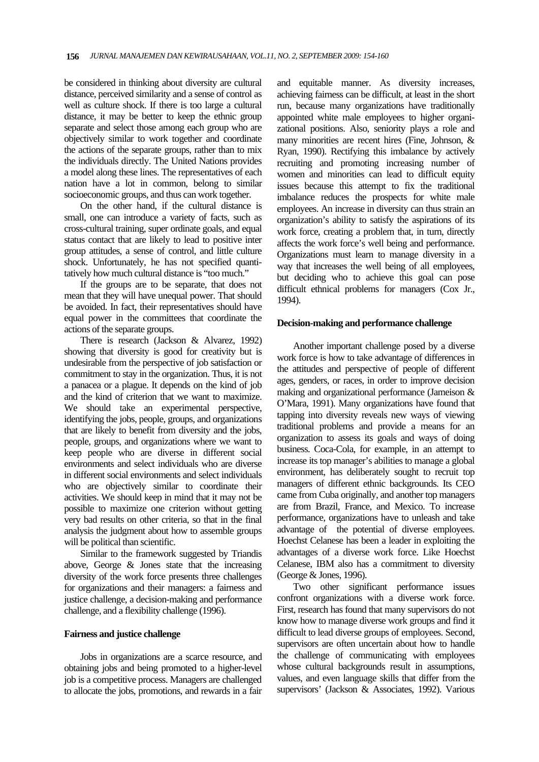be considered in thinking about diversity are cultural distance, perceived similarity and a sense of control as well as culture shock. If there is too large a cultural distance, it may be better to keep the ethnic group separate and select those among each group who are objectively similar to work together and coordinate the actions of the separate groups, rather than to mix the individuals directly. The United Nations provides a model along these lines. The representatives of each nation have a lot in common, belong to similar socioeconomic groups, and thus can work together.

On the other hand, if the cultural distance is small, one can introduce a variety of facts, such as cross-cultural training, super ordinate goals, and equal status contact that are likely to lead to positive inter group attitudes, a sense of control, and little culture shock. Unfortunately, he has not specified quantitatively how much cultural distance is "too much."

If the groups are to be separate, that does not mean that they will have unequal power. That should be avoided. In fact, their representatives should have equal power in the committees that coordinate the actions of the separate groups.

There is research (Jackson & Alvarez, 1992) showing that diversity is good for creativity but is undesirable from the perspective of job satisfaction or commitment to stay in the organization. Thus, it is not a panacea or a plague. It depends on the kind of job and the kind of criterion that we want to maximize. We should take an experimental perspective, identifying the jobs, people, groups, and organizations that are likely to benefit from diversity and the jobs, people, groups, and organizations where we want to keep people who are diverse in different social environments and select individuals who are diverse in different social environments and select individuals who are objectively similar to coordinate their activities. We should keep in mind that it may not be possible to maximize one criterion without getting very bad results on other criteria, so that in the final analysis the judgment about how to assemble groups will be political than scientific.

Similar to the framework suggested by Triandis above, George & Jones state that the increasing diversity of the work force presents three challenges for organizations and their managers: a fairness and justice challenge, a decision-making and performance challenge, and a flexibility challenge (1996).

### **Fairness and justice challenge**

Jobs in organizations are a scarce resource, and obtaining jobs and being promoted to a higher-level job is a competitive process. Managers are challenged to allocate the jobs, promotions, and rewards in a fair

and equitable manner. As diversity increases, achieving fairness can be difficult, at least in the short run, because many organizations have traditionally appointed white male employees to higher organizational positions. Also, seniority plays a role and many minorities are recent hires (Fine, Johnson, & Ryan, 1990). Rectifying this imbalance by actively recruiting and promoting increasing number of women and minorities can lead to difficult equity issues because this attempt to fix the traditional imbalance reduces the prospects for white male employees. An increase in diversity can thus strain an organization's ability to satisfy the aspirations of its work force, creating a problem that, in turn, directly affects the work force's well being and performance. Organizations must learn to manage diversity in a way that increases the well being of all employees, but deciding who to achieve this goal can pose difficult ethnical problems for managers (Cox Jr., 1994).

### **Decision-making and performance challenge**

Another important challenge posed by a diverse work force is how to take advantage of differences in the attitudes and perspective of people of different ages, genders, or races, in order to improve decision making and organizational performance (Jameison & O'Mara, 1991). Many organizations have found that tapping into diversity reveals new ways of viewing traditional problems and provide a means for an organization to assess its goals and ways of doing business. Coca-Cola, for example, in an attempt to increase its top manager's abilities to manage a global environment, has deliberately sought to recruit top managers of different ethnic backgrounds. Its CEO came from Cuba originally, and another top managers are from Brazil, France, and Mexico. To increase performance, organizations have to unleash and take advantage of the potential of diverse employees. Hoechst Celanese has been a leader in exploiting the advantages of a diverse work force. Like Hoechst Celanese, IBM also has a commitment to diversity (George & Jones, 1996).

Two other significant performance issues confront organizations with a diverse work force. First, research has found that many supervisors do not know how to manage diverse work groups and find it difficult to lead diverse groups of employees. Second, supervisors are often uncertain about how to handle the challenge of communicating with employees whose cultural backgrounds result in assumptions, values, and even language skills that differ from the supervisors' (Jackson & Associates, 1992). Various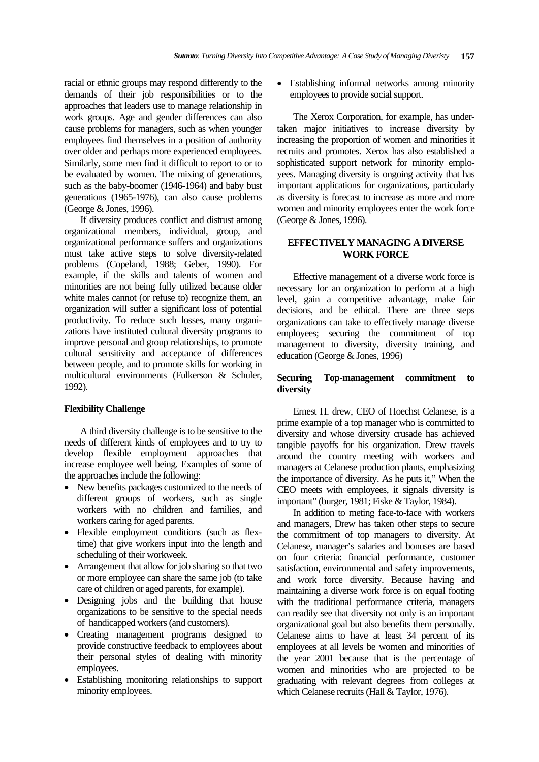racial or ethnic groups may respond differently to the demands of their job responsibilities or to the approaches that leaders use to manage relationship in work groups. Age and gender differences can also cause problems for managers, such as when younger employees find themselves in a position of authority over older and perhaps more experienced employees. Similarly, some men find it difficult to report to or to be evaluated by women. The mixing of generations, such as the baby-boomer (1946-1964) and baby bust generations (1965-1976), can also cause problems (George & Jones, 1996).

If diversity produces conflict and distrust among organizational members, individual, group, and organizational performance suffers and organizations must take active steps to solve diversity-related problems (Copeland, 1988; Geber, 1990). For example, if the skills and talents of women and minorities are not being fully utilized because older white males cannot (or refuse to) recognize them, an organization will suffer a significant loss of potential productivity. To reduce such losses, many organizations have instituted cultural diversity programs to improve personal and group relationships, to promote cultural sensitivity and acceptance of differences between people, and to promote skills for working in multicultural environments (Fulkerson & Schuler, 1992).

### **Flexibility Challenge**

A third diversity challenge is to be sensitive to the needs of different kinds of employees and to try to develop flexible employment approaches that increase employee well being. Examples of some of the approaches include the following:

- New benefits packages customized to the needs of different groups of workers, such as single workers with no children and families, and workers caring for aged parents.
- Flexible employment conditions (such as flextime) that give workers input into the length and scheduling of their workweek.
- Arrangement that allow for job sharing so that two or more employee can share the same job (to take care of children or aged parents, for example).
- Designing jobs and the building that house organizations to be sensitive to the special needs of handicapped workers (and customers).
- Creating management programs designed to provide constructive feedback to employees about their personal styles of dealing with minority employees.
- Establishing monitoring relationships to support minority employees.

• Establishing informal networks among minority employees to provide social support.

The Xerox Corporation, for example, has undertaken major initiatives to increase diversity by increasing the proportion of women and minorities it recruits and promotes. Xerox has also established a sophisticated support network for minority employees. Managing diversity is ongoing activity that has important applications for organizations, particularly as diversity is forecast to increase as more and more women and minority employees enter the work force (George & Jones, 1996).

# **EFFECTIVELY MANAGING A DIVERSE WORK FORCE**

Effective management of a diverse work force is necessary for an organization to perform at a high level, gain a competitive advantage, make fair decisions, and be ethical. There are three steps organizations can take to effectively manage diverse employees; securing the commitment of top management to diversity, diversity training, and education (George & Jones, 1996)

# **Securing Top-management commitment to diversity**

Ernest H. drew, CEO of Hoechst Celanese, is a prime example of a top manager who is committed to diversity and whose diversity crusade has achieved tangible payoffs for his organization. Drew travels around the country meeting with workers and managers at Celanese production plants, emphasizing the importance of diversity. As he puts it," When the CEO meets with employees, it signals diversity is important" (burger, 1981; Fiske & Taylor, 1984).

In addition to meting face-to-face with workers and managers, Drew has taken other steps to secure the commitment of top managers to diversity. At Celanese, manager's salaries and bonuses are based on four criteria: financial performance, customer satisfaction, environmental and safety improvements, and work force diversity. Because having and maintaining a diverse work force is on equal footing with the traditional performance criteria, managers can readily see that diversity not only is an important organizational goal but also benefits them personally. Celanese aims to have at least 34 percent of its employees at all levels be women and minorities of the year 2001 because that is the percentage of women and minorities who are projected to be graduating with relevant degrees from colleges at which Celanese recruits (Hall & Taylor, 1976).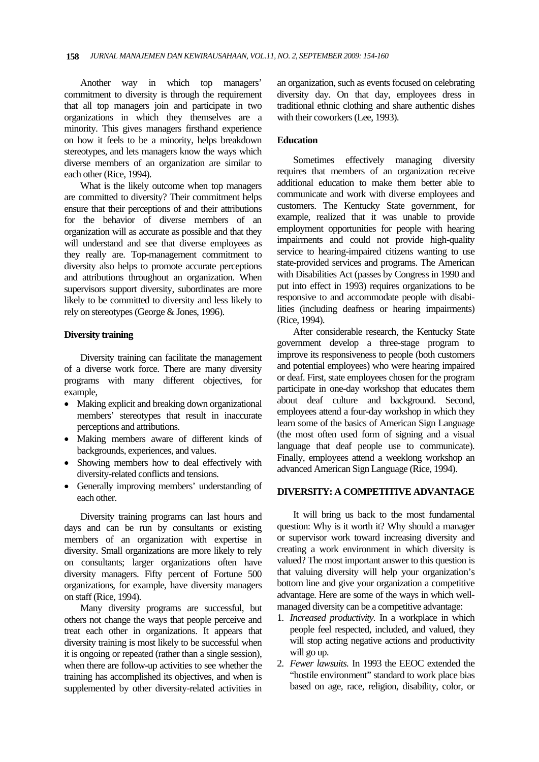Another way in which top managers' commitment to diversity is through the requirement that all top managers join and participate in two organizations in which they themselves are a minority. This gives managers firsthand experience on how it feels to be a minority, helps breakdown stereotypes, and lets managers know the ways which diverse members of an organization are similar to each other (Rice, 1994).

What is the likely outcome when top managers are committed to diversity? Their commitment helps ensure that their perceptions of and their attributions for the behavior of diverse members of an organization will as accurate as possible and that they will understand and see that diverse employees as they really are. Top-management commitment to diversity also helps to promote accurate perceptions and attributions throughout an organization. When supervisors support diversity, subordinates are more likely to be committed to diversity and less likely to rely on stereotypes (George & Jones, 1996).

### **Diversity training**

Diversity training can facilitate the management of a diverse work force. There are many diversity programs with many different objectives, for example,

- Making explicit and breaking down organizational members' stereotypes that result in inaccurate perceptions and attributions.
- Making members aware of different kinds of backgrounds, experiences, and values.
- Showing members how to deal effectively with diversity-related conflicts and tensions.
- Generally improving members' understanding of each other.

Diversity training programs can last hours and days and can be run by consultants or existing members of an organization with expertise in diversity. Small organizations are more likely to rely on consultants; larger organizations often have diversity managers. Fifty percent of Fortune 500 organizations, for example, have diversity managers on staff (Rice, 1994).

Many diversity programs are successful, but others not change the ways that people perceive and treat each other in organizations. It appears that diversity training is most likely to be successful when it is ongoing or repeated (rather than a single session), when there are follow-up activities to see whether the training has accomplished its objectives, and when is supplemented by other diversity-related activities in an organization, such as events focused on celebrating diversity day. On that day, employees dress in traditional ethnic clothing and share authentic dishes with their coworkers (Lee, 1993).

### **Education**

Sometimes effectively managing diversity requires that members of an organization receive additional education to make them better able to communicate and work with diverse employees and customers. The Kentucky State government, for example, realized that it was unable to provide employment opportunities for people with hearing impairments and could not provide high-quality service to hearing-impaired citizens wanting to use state-provided services and programs. The American with Disabilities Act (passes by Congress in 1990 and put into effect in 1993) requires organizations to be responsive to and accommodate people with disabilities (including deafness or hearing impairments) (Rice, 1994).

After considerable research, the Kentucky State government develop a three-stage program to improve its responsiveness to people (both customers and potential employees) who were hearing impaired or deaf. First, state employees chosen for the program participate in one-day workshop that educates them about deaf culture and background. Second, employees attend a four-day workshop in which they learn some of the basics of American Sign Language (the most often used form of signing and a visual language that deaf people use to communicate). Finally, employees attend a weeklong workshop an advanced American Sign Language (Rice, 1994).

### **DIVERSITY: A COMPETITIVE ADVANTAGE**

It will bring us back to the most fundamental question: Why is it worth it? Why should a manager or supervisor work toward increasing diversity and creating a work environment in which diversity is valued? The most important answer to this question is that valuing diversity will help your organization's bottom line and give your organization a competitive advantage. Here are some of the ways in which wellmanaged diversity can be a competitive advantage:

- 1. *Increased productivity.* In a workplace in which people feel respected, included, and valued, they will stop acting negative actions and productivity will go up.
- 2. *Fewer lawsuits.* In 1993 the EEOC extended the "hostile environment" standard to work place bias based on age, race, religion, disability, color, or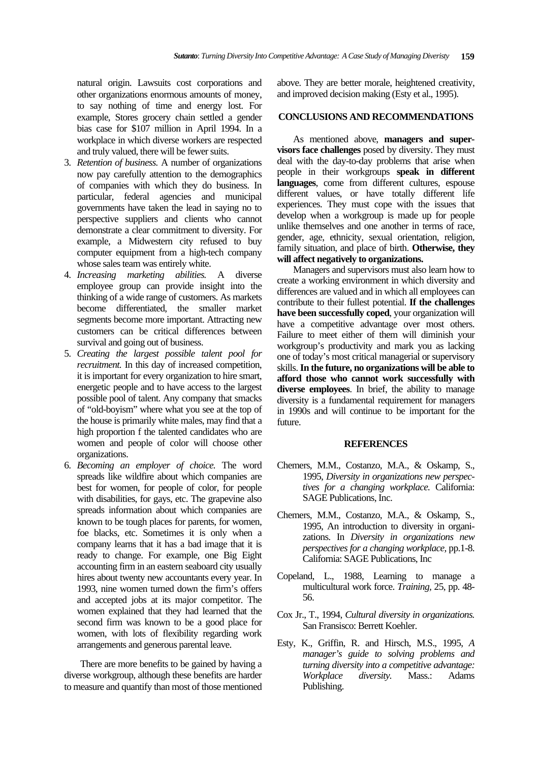natural origin. Lawsuits cost corporations and other organizations enormous amounts of money, to say nothing of time and energy lost. For example, Stores grocery chain settled a gender bias case for \$107 million in April 1994. In a workplace in which diverse workers are respected and truly valued, there will be fewer suits.

- 3. *Retention of business.* A number of organizations now pay carefully attention to the demographics of companies with which they do business. In particular, federal agencies and municipal governments have taken the lead in saying no to perspective suppliers and clients who cannot demonstrate a clear commitment to diversity. For example, a Midwestern city refused to buy computer equipment from a high-tech company whose sales team was entirely white.
- 4. *Increasing marketing abilities.* A diverse employee group can provide insight into the thinking of a wide range of customers. As markets become differentiated, the smaller market segments become more important. Attracting new customers can be critical differences between survival and going out of business.
- 5. *Creating the largest possible talent pool for recruitment.* In this day of increased competition, it is important for every organization to hire smart, energetic people and to have access to the largest possible pool of talent. Any company that smacks of "old-boyism" where what you see at the top of the house is primarily white males, may find that a high proportion f the talented candidates who are women and people of color will choose other organizations.
- 6. *Becoming an employer of choice.* The word spreads like wildfire about which companies are best for women, for people of color, for people with disabilities, for gays, etc. The grapevine also spreads information about which companies are known to be tough places for parents, for women, foe blacks, etc. Sometimes it is only when a company learns that it has a bad image that it is ready to change. For example, one Big Eight accounting firm in an eastern seaboard city usually hires about twenty new accountants every year. In 1993, nine women turned down the firm's offers and accepted jobs at its major competitor. The women explained that they had learned that the second firm was known to be a good place for women, with lots of flexibility regarding work arrangements and generous parental leave.

There are more benefits to be gained by having a diverse workgroup, although these benefits are harder to measure and quantify than most of those mentioned above. They are better morale, heightened creativity, and improved decision making (Esty et al., 1995).

### **CONCLUSIONS AND RECOMMENDATIONS**

As mentioned above, **managers and supervisors face challenges** posed by diversity. They must deal with the day-to-day problems that arise when people in their workgroups **speak in different languages**, come from different cultures, espouse different values, or have totally different life experiences. They must cope with the issues that develop when a workgroup is made up for people unlike themselves and one another in terms of race, gender, age, ethnicity, sexual orientation, religion, family situation, and place of birth. **Otherwise, they will affect negatively to organizations.** 

Managers and supervisors must also learn how to create a working environment in which diversity and differences are valued and in which all employees can contribute to their fullest potential. **If the challenges have been successfully coped**, your organization will have a competitive advantage over most others. Failure to meet either of them will diminish your workgroup's productivity and mark you as lacking one of today's most critical managerial or supervisory skills. **In the future, no organizations will be able to afford those who cannot work successfully with diverse employees**. In brief, the ability to manage diversity is a fundamental requirement for managers in 1990s and will continue to be important for the future.

### **REFERENCES**

- Chemers, M.M., Costanzo, M.A., & Oskamp, S., 1995, *Diversity in organizations new perspectives for a changing workplace.* California: SAGE Publications, Inc.
- Chemers, M.M., Costanzo, M.A., & Oskamp, S., 1995, An introduction to diversity in organizations. In *Diversity in organizations new perspectives for a changing workplace,* pp.1-8. California: SAGE Publications, Inc
- Copeland, L., 1988, Learning to manage a multicultural work force. *Training,* 25, pp. 48- 56.
- Cox Jr., T., 1994, *Cultural diversity in organizations.*  San Fransisco: Berrett Koehler.
- Esty, K., Griffin, R. and Hirsch, M.S., 1995, *A manager's guide to solving problems and turning diversity into a competitive advantage: Workplace diversity.* Mass.: Adams Publishing.